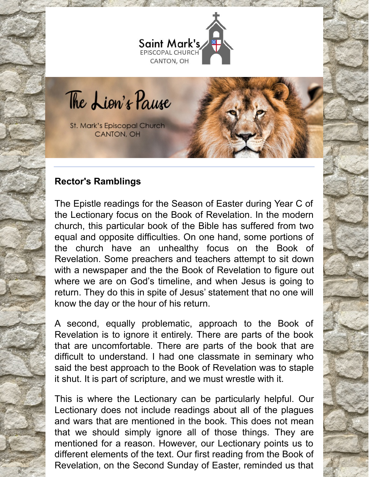

The Lion's Pause

St. Mark's Episcopal Church CANTON, OH

# **Rector's Ramblings**

The Epistle readings for the Season of Easter during Year C of the Lectionary focus on the Book of Revelation. In the modern church, this particular book of the Bible has suffered from two equal and opposite difficulties. On one hand, some portions of the church have an unhealthy focus on the Book of Revelation. Some preachers and teachers attempt to sit down with a newspaper and the the Book of Revelation to figure out where we are on God's timeline, and when Jesus is going to return. They do this in spite of Jesus' statement that no one will know the day or the hour of his return.

A second, equally problematic, approach to the Book of Revelation is to ignore it entirely. There are parts of the book that are uncomfortable. There are parts of the book that are difficult to understand. I had one classmate in seminary who said the best approach to the Book of Revelation was to staple it shut. It is part of scripture, and we must wrestle with it.

This is where the Lectionary can be particularly helpful. Our Lectionary does not include readings about all of the plagues and wars that are mentioned in the book. This does not mean that we should simply ignore all of those things. They are mentioned for a reason. However, our Lectionary points us to different elements of the text. Our first reading from the Book of Revelation, on the Second Sunday of Easter, reminded us that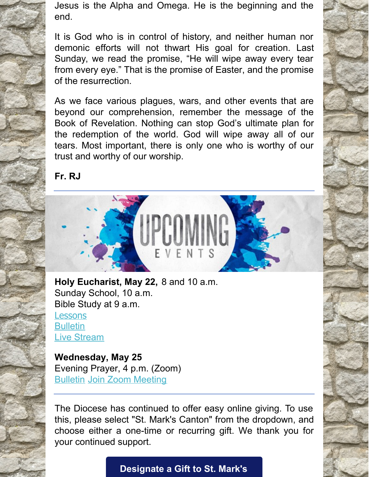Jesus is the Alpha and Omega. He is the beginning and the end.

It is God who is in control of history, and neither human nor demonic efforts will not thwart His goal for creation. Last Sunday, we read the promise, "He will wipe away every tear from every eye." That is the promise of Easter, and the promise of the resurrection.

As we face various plagues, wars, and other events that are beyond our comprehension, remember the message of the Book of Revelation. Nothing can stop God's ultimate plan for the redemption of the world. God will wipe away all of our tears. Most important, there is only one who is worthy of our trust and worthy of our worship.

**Fr. RJ**



**Holy Eucharist, May 22,** 8 and 10 a.m. Sunday School, 10 a.m. Bible Study at 9 a.m. **[Lessons](http://lectionarypage.net/YearC_RCL/Easter/CEaster6_RCL.html) [Bulletin](https://files.constantcontact.com/32ed7374201/5bcc7f45-c352-470c-8ea9-47cf29202481.pdf)** Live [Stream](https://www.facebook.com/stmarks.canton)

**Wednesday, May 25** Evening Prayer, 4 p.m. (Zoom) [Bulletin](https://files.constantcontact.com/32ed7374201/146287c4-9d53-4a2e-951d-c8c2a3cc3bb2.pdf) Join Zoom [Meeting](https://us06web.zoom.us/j/86741433895?pwd=bzZMUEphMTBCbElxRE9HbVNxRVEvQT09)

The Diocese has continued to offer easy online giving. To use this, please select "St. Mark's Canton" from the dropdown, and choose either a one-time or recurring gift. We thank you for your continued support.

**[Designate](https://dohio.org/designate-a-gift-to-your-parish) a Gift to St. Mark's**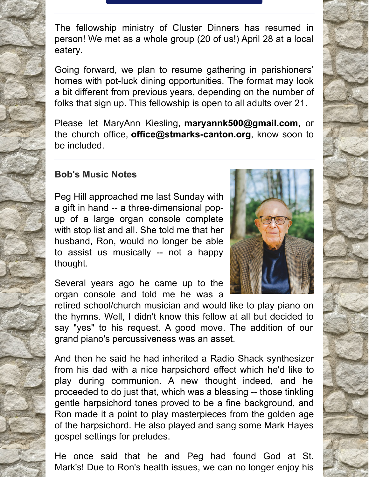The fellowship ministry of Cluster Dinners has resumed in person! We met as a whole group (20 of us!) April 28 at a local eatery.

Going forward, we plan to resume gathering in parishioners' homes with pot-luck dining opportunities. The format may look a bit different from previous years, depending on the number of folks that sign up. This fellowship is open to all adults over 21.

Please let MaryAnn Kiesling, **[maryannk500@gmail.com](mailto:maryannk500@gmail.com)**, or the church office, **[office@stmarks-canton.org](mailto:office@stmarks-canton.org)**, know soon to be included.

# **Bob's Music Notes**

Peg Hill approached me last Sunday with a gift in hand -- a three-dimensional popup of a large organ console complete with stop list and all. She told me that her husband, Ron, would no longer be able to assist us musically -- not a happy thought.

Several years ago he came up to the organ console and told me he was a

retired school/church musician and would like to play piano on the hymns. Well, I didn't know this fellow at all but decided to say "yes" to his request. A good move. The addition of our grand piano's percussiveness was an asset.

And then he said he had inherited a Radio Shack synthesizer from his dad with a nice harpsichord effect which he'd like to play during communion. A new thought indeed, and he proceeded to do just that, which was a blessing -- those tinkling gentle harpsichord tones proved to be a fine background, and Ron made it a point to play masterpieces from the golden age of the harpsichord. He also played and sang some Mark Hayes gospel settings for preludes.

He once said that he and Peg had found God at St. Mark's! Due to Ron's health issues, we can no longer enjoy his



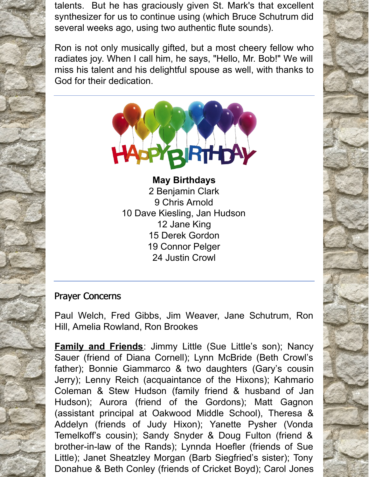talents. But he has graciously given St. Mark's that excellent synthesizer for us to continue using (which Bruce Schutrum did several weeks ago, using two authentic flute sounds).

Ron is not only musically gifted, but a most cheery fellow who radiates joy. When I call him, he says, "Hello, Mr. Bob!" We will miss his talent and his delightful spouse as well, with thanks to God for their dedication.



**May Birthdays** Benjamin Clark Chris Arnold Dave Kiesling, Jan Hudson Jane King Derek Gordon Connor Pelger Justin Crowl

## Prayer Concerns

Paul Welch, Fred Gibbs, Jim Weaver, Jane Schutrum, Ron Hill, Amelia Rowland, Ron Brookes

**Family and Friends**: Jimmy Little (Sue Little's son); Nancy Sauer (friend of Diana Cornell); Lynn McBride (Beth Crowl's father); Bonnie Giammarco & two daughters (Gary's cousin Jerry); Lenny Reich (acquaintance of the Hixons); Kahmario Coleman & Stew Hudson (family friend & husband of Jan Hudson); Aurora (friend of the Gordons); Matt Gagnon (assistant principal at Oakwood Middle School), Theresa & Addelyn (friends of Judy Hixon); Yanette Pysher (Vonda Temelkoff's cousin); Sandy Snyder & Doug Fulton (friend & brother-in-law of the Rands); Lynnda Hoefler (friends of Sue Little); Janet Sheatzley Morgan (Barb Siegfried's sister); Tony Donahue & Beth Conley (friends of Cricket Boyd); Carol Jones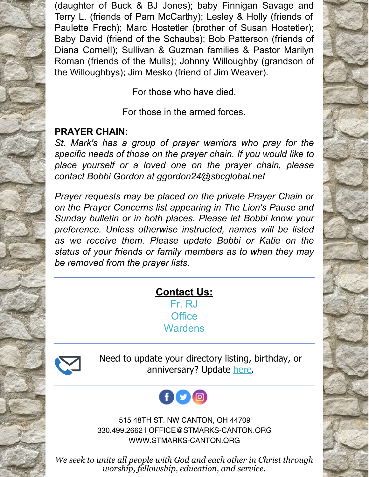(daughter of Buck & BJ Jones); baby Finnigan Savage and Terry L. (friends of Pam McCarthy); Lesley & Holly (friends of Paulette Frech); Marc Hostetler (brother of Susan Hostetler); Baby David (friend of the Schaubs); Bob Patterson (friends of Diana Cornell); Sullivan & Guzman families & Pastor Marilyn Roman (friends of the Mulls); Johnny Willoughby (grandson of the Willoughbys); Jim Mesko (friend of Jim Weaver).

For those who have died.

For those in the armed forces.

# **PRAYER CHAIN:**

*St. Mark's has a group of prayer warriors who pray for the specific needs of those on the prayer chain. If you would like to place yourself or a loved one on the prayer chain, please contact Bobbi Gordon at ggordon24@sbcglobal.net*

*Prayer requests may be placed on the private Prayer Chain or on the Prayer Concerns list appearing in The Lion's Pause and Sunday bulletin or in both places. Please let Bobbi know your preference. Unless otherwise instructed, names will be listed as we receive them. Please update Bobbi or Katie on the status of your friends or family members as to when they may be removed from the prayer lists.*

### **Contact Us:** [Fr.](mailto:rjohnson@stmarks-canton.org) RJ **[Office](mailto:office@stmarks-canton.org)**

**[Wardens](mailto:stmarkscantonwardens@gmail.com)** 



Need to update your directory listing, birthday, or anniversary? Update [here](https://members.instantchurchdirectory.com/).



515 48TH ST. NW CANTON, OH 44709 330.499.2662 | OFFICE@STMARKS-CANTON.ORG WWW.STMARKS-CANTON.ORG

*We seek to unite all people with God and each other in Christ through worship, fellowship, education, and service.*